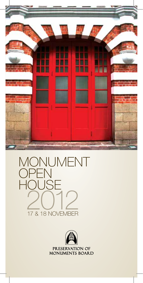



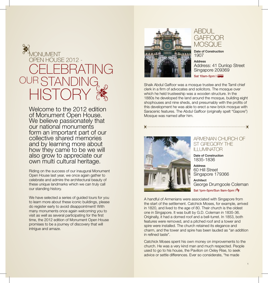

Welcome to the 2012 edition of Monument Open House. We believe passionately that our national monuments form an important part of our collective shared memories and by learning more about how they came to be we will also grow to appreciate our own multi cultural heritage.

Riding on the success of our inaugural Monument Open House last year, we once again gather to celebrate and admire the architectural beauty of these unique landmarks which we can truly call our standing history.

We have selected a series of guided tours for you to learn more about these iconic buildings, please do register early to avoid disappointment! With many monuments once again welcoming you to visit as well as several participating for the first time, the 2012 edition of Monument Open House promises to be a journey of discovery that will intrigue and amaze.



## ABDUL GAFFOOR MOSOUF

Date of Construction 1907

Address Address: 41 Dunlop Street Singapore 209369

Sat 10am-5pm |

Shaik Abdul Gaffoor was a mosque trustee and the Tamil chief clerk in a firm of advocates and solicitors. The mosque over which he held trusteeship was a wooden structure. In the 1880s he developed the land around the mosque, building eight shophouses and nine sheds, and presumably with the profits of this development he was able to erect a new brick mosque with Saracenic features. The Abdul Gaffoor (originally spelt "Gapore") Mosque was named after him.



#### ARMENIAN CHURCH OF ST GREGORY THE ILLUMINATOR

Date of Construction 1835-1836

**Address** 60 Hill Street Singapore 179366

Architect George Drumgoole Coleman

1

Sat 1pm-5pm/Sun 9am-5pm | !!

A handful of Armenians were associated with Singapore from the start of the settlement. Catchick Moses, for example, arrived in 1820, and lived to the age of 80. Their church is the oldest one in Singapore. It was built by G.D. Coleman in 1835-36. Originally, it had a domed roof and a bell-turret. In 1853, both features were removed, and a pitched roof and a tower and spire were installed. The church retained its elegance and charm, and the tower and spire has been lauded as "an addition in refined taste".

Catchick Moses spent his own money on improvements to the church. He was a very kind man and much respected. People used to go to his house, the Pavilion on Oxley Rise, to seek advice or settle differences. Ever so considerate, "he made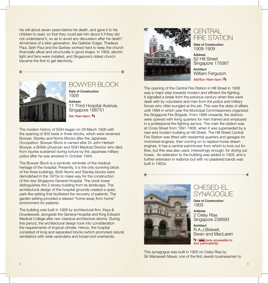his will about seven years before his death, and gave it to his children to read, so that they could ask him about it if they did not understand it, so as to avoid any discussion after his death". Armenians of a later generation, like Galistan Edgar, Thadeus Paul, Seth Paul and the Sarkies worked hard to keep the church financially afloat and structurally in good shape. In 1909, electric light and fans were installed, and Singapore's oldest church became the first to get electricity.



BOWYER BLOCK

Date of Construction 1926

Address 11 Third Hospital Avenue, Singapore 168751  $Sat 10$ am-6pm | $\mathbf{\%}$ 

The modern history of SGH began on 29 March 1926 with the opening of 800 beds in three blocks, which were renamed Bowyer, Stanley and Norris Blocks after the Japanese Occupation. Bowyer Block is named after Dr John Herbert Bowyer, a British physician and SGH Medical Director who died from injuries sustained during torture by the Japanese military police after he was arrested in October 1944.

The Bowyer Block is a symbolic reminder of the medical heritage of the hospital. Presently, it is the only surviving block of the three buildings. Both Norris and Stanley blocks were demolished in the 1970s to make way for the construction of the new Singapore General Hospital. The clock tower distinguishes the 2-storey building from its landscape. The architectural design of the hospital grounds created a quiet, park-like setting that facilitated the recovery of patients. The garden setting provided a relaxed "home away from home" environment for patients.

The building was built in 1926 by architectural firm, Keys & Dowdeswell, alongside the General Hospital and King Edward Medical College after neo classical architecture idioms. During this period, the architectural design took into consideration the requirements of tropical climate. Hence, the hospital consisted of long and separated blocks (which promoted natural ventilation) with wide verandahs and broad roof overhands.



## CENTRAL FIRE STATION

Date of Construction 1908-1909

**Address** 62 Hill Street Singapore 179367 Architect William Ferguson Sat/Sun 10am-5pm |  $\bullet$ 

The opening of the Central Fire Station in Hill Street in 1908 was a major step towards modern and efficient fire-fighting. It signalled a break from the previous century when fires were dealt with by volunteers and men from the police and military forces who often bungled at the job. This was the state of affairs until 1888 in which year the Municipal Commissioners organized the Singapore Fire Brigade. From 1888 onwards, fire stations were opened with living quarters for men trained and employed in a professional fire-fighting service. The main fire-station was at Cross Street from 1891-1908, when it was superseded by a new and modern building at Hill Street. The Hill Street Central Fire Station was fitted with residential quarters and garages for motorised engines, then coming on to replace horse-drawn engines. It has a central watchtower from which to look out for fires, but this was also used, interestingly enough, for drying out hoses. An extension to the building was added in 1926, and a further extension in redbrick but with no plastered bands was built in 1950s.



CHESED-EL **SYNAGOGUE** 

Date of Construction 1905

Address 2 Oxley Rise Singapore 238693

**Architect** R.A.J.Bidwell, Swan and MacLaren

| (only accessible to tour participants)

This synagogue was built in 1905 on Oxley Rise by Sir Manasseh Meyer, one of the first Jewish businessmen to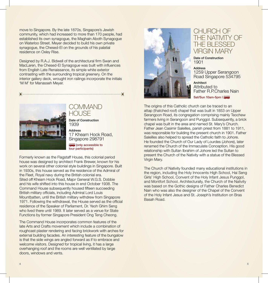move to Singapore. By the late 1870s, Singapore's Jewish community, which had increased to more than 170 people, had established its own synagogue, the Maghain Aboth Synagogue on Waterloo Street. Meyer decided to build his own private synagogue, the Chesed-El on the grounds of his palatial residence on Oxley Rise.

Designed by R.A.J. Bidwell of the architectural firm Swan and MacLaren, the Chesed-El Synagogue was built with influences from English Late Renaissance, its simple white exterior contrasting with the surrounding tropical greenery. On the interior gallery deck, wrought iron railings incorporate the initials 'M M' for Manasseh Meyer.



## **COMMAND** HOUSE

Date of Construction 1939

Address 17 Kheam Hock Road, Singapore 298791

**THE (only accessible to** tour participants)

Formerly known as the Flagstaff House, this colonial period house was designed by architect Frank Brewer, known for his work on several other colonial style buildings in Singapore. Built in 1930s, this house served as the residence of the Admiral of the Fleet, Royal navy during the British colonial era. Sited off Kheam Hock Road, Major General W.G.S. Dobbie and his wife shifted into this house in end October 1938. The Command House subsequently housed fifteen succeeding British military officials, including Admiral Lord Louis Mountbatten, until the British military withdrew from Singapore 1971. Following the withdrawal, the House served as the official residence of the Speaker of Parliament, Dr. Yeoh Ghim Seng who lived there until 1989. It later served as a venue for State Functions by former Singapore President Ong Teng Cheong.

The Command House incorporates common features of the late Arts and Crafts movement which include a combination of roughcast plaster rendering and facing brickwork with arches for external building facades. An interesting feature of the bungalow is that the side wings are angled forward as if to embrace and welcome visitors. Designed for tropical living, it has a large overhanging roof and the rooms are well ventilated by large doors, windows and vents.



## CHURCH OF THE NATIVITY OF THE BLESSED VIRGIN MARY

Date of Construction 1901

Address 1259 Upper Serangoon Road Singapore 534795

Architect Attributed to Father R.P.Charles Nain Sat/Sun 10am-5pm | T

The origins of this Catholic church can be traced to an attap (thatched roof) chapel that was built in 1853 on Upper Serangoon Road, its congregation comprising mainly Teochew farmers living in Serangoon and Punggol. Subsequently, a brick chapel was built in the area and named St. Mary's Church. Father Jean Casimir Saleilles, parish priest from 1881 to 1911, was responsible for building the present church in 1901. Father Saleilles also helped to spread the Catholic faith to Johore. He founded the Church of Our Lady of Lourdes (Johore), later renamed the Church of the Immaculate Conception. His good relationship with Sultan Ibrahim of Johore led the Sultan to present the Church of the Nativity with a statue of the Blessed Virgin Mary.

The Church of Nativity founded many educational institutions in the region, including the Holy Innocents High School, Hai Seng Girls' High School, Convent of the Holy Infant Jesus Punggol, and Montfort School. Architecturally, the Church of the Nativity was based on the Gothic designs of Father Charles Benedict Nain who was also the designer of the Chapel of the Convent of the Holy Infant Jesus and St. Joseph's Institution on Bras Basah Road.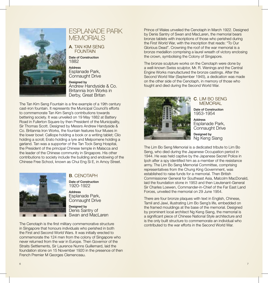

## ESPLANADE PARK **MEMORIALS**

A. TAN KIM SENG **FOUNTAIN** 

Date of Construction 1882

Address Esplanade Park, Connaught Drive

#### Designed by

Andrew Handyside & Co. Britannia Iron Works in Derby, Great Britan

The Tan Kim Seng Fountain is a fine example of a 19th century cast-iron fountain. It represents the Municipal Council's efforts to commemorate Tan Kim Seng's contributions towards bettering society. It was unveiled on 19 May 1882 at Battery Road in Fullerton Square by then President of the Municipality, Sir Thomas Scott. Designed by Messrs Andrew Handyside & Co. Britannia Iron Works, the fountain features four Muses in the lower bowl: Calliope holding a book or a writing tablet; Clio holding a scroll; Erato holding a lyre and Melpomene holding a garland. Tan was a supporter of the Tan Tock Seng Hospital, the President of the principal Chinese temple in Malacca and the leader of the Chinese community in Singapore. His other contributions to society include the building and endowing of the Chinese Free School, known as Chui Eng Si E, in Amoy Street.



#### B. CENOTAPH

Date of Construction 1920-1922

Address Esplanade Park, Connaught Drive

Designed by Denis Santry of Swan and MacLaren

The Cenotaph is the first military commemorative structure in Singapore that honours individuals who perished in both the First and Second World Wars. It was initially erected to commemorate the 124 men from the colony of Singapore who never returned from the war in Europe. Then Governor of the Straits Settlements, Sir Laurence Nunns Guillemard, laid the foundation stone on 15 November 1920 in the presence of then French Premier M Georges Clemenceau.

Prince of Wales unveiled the Cenotaph in March 1922. Designed by Denis Santry of Swan and MacLaren, the memorial bears bronze tablets with inscriptions of those who perished during the First World War, with the inscription that reads: "To Our Glorious Dead". Crowning the roof of the war memorial is a bronze medallion comprising a laurel wreath of victory enclosing the crown, symbolising the Colony of Singapore.

The bronze sculpture works on the Cenotaph were done by a well-known Swiss sculptor, Mr. R. Wenings and the Central Engine Works manufactured the bronze castings. After the Second World War (September 1945), a dedication was made on the other side of the Cenotaph, in memory of those who fought and died during the Second World War.



#### C. LIM BO SENG **MEMORIAL**

Date of Construction 1953-1954

Address Esplanade Park, Connaught Drive

Designed by Ng Keng Siang

The Lim Bo Seng Memorial is a dedicated tribute to Lim Bo Seng, who died during the Japanese Occupation period in 1944. He was held captive by the Japanese Secret Police in Ipoh after a spy identified him as a member of the resistance army. The Lim Bo Seng Memorial Committee, comprising representatives from the Chung King Government, was established to raise funds for a memorial. Then British Commissioner General for Southeast Asia, Malcolm MacDonald, laid the foundation stone in 1953 and then Lieutenant-General Sir Charles Loewen, Commander-in-Chief of the Far East Land Forces, unveiled the memorial on 29 June 1954.

There are four bronze plaques with text in English, Chinese, Tamil and Jawi, illustrating Lim Bo Seng's life, embedded on the framed mouldings at the base of the memorial. Designed by prominent local architect Ng Keng Siang, the memorial is a significant piece of Chinese National Style architecture and is the only built structure to commemorate an individual who contributed to the war efforts in the Second World War.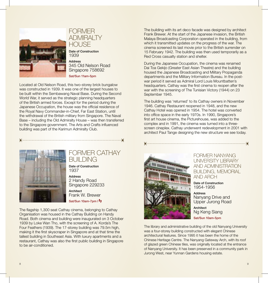

## FORMER ADMIRALTY HOUSE

Date of Construction 1939

Address 345 Old Nelson Road Singapore 758692

Sat/Sun 11am-5pm

Located at Old Nelson Road, this two-storey brick bungalow was constructed in 1939. It was one of the largest houses to be built within the Sembawang Naval Base. During the Second World War, it served as the strategic planning headquarters of the British armed forces. Except for the period during the Japanese Occupation, the house was the official residence of the Royal Navy Commander-in-Chief, Far East Station, until the withdrawal of the British military from Singapore. The Naval Base – including the Old Admiralty House – was then transferred to the Singapore government. The Arts and Crafts influenced building was part of the Karimun Admiralty Club.



## FORMER CATHAY **BUILDING**

Date of Construction 1937

Address 2 Handy Road Singapore 229233

**Architect** Frank W. Brewer Sat/Sun 10am-7pm | !!

The flagship 1,300 seat Cathay cinema, belonging to Cathay Organisation was housed in the Cathay Building on Handy Road. Both cinema and building were inaugurated on 3 October 1939 by Loke Wan Tho, with the screening of A. Korda's The Four Feathers (1939). The 17-storey building was 79.5m high, making it the first skyscraper in Singapore and at that time the tallest building in Southeast Asia. With luxury apartments and a restaurant, Cathay was also the first public building in Singapore to be air-conditioned.

The building with its art deco facade was designed by architect Frank Brewer. At the start of the Japanese invasion, the British Malaya Broadcasting Corporation operated in the building, from which it transmitted updates on the progress of the war. The cinema screened its last movie prior to the British surrender on 15 February 1942. The building was then used temporarily as a Red Cross casualty station and shelter.

During the Japanese Occupation, the cinema was renamed Dai Toa Gekijo (Greater East Asian Theatre) and the building housed the Japanese Broadcasting and Military Propaganda departments and the Military Information Bureau. In the postwar period it served as Admiral Lord Louis Mountbatten's headquarters. Cathay was the first cinema to reopen after the war with the screening of The Tunisian Victory (1944) on 23 September 1945.

The building was 'returned' to its Cathay owners in November 1946. Cathay Restaurant reopened in 1948, and the new Cathay Hotel was opened in 1954. The hotel was converted into office space in the early 1970s. In 1990, Singapore's first art house cinema, the Picturehouse, was added to the complex and in 1991, the cinema was turned into a threescreen cineplex. Cathay underwent redevelopment in 2001 with architect Paul Tange designing the new structure we see today.



The library and administrative building of the old Nanyang University was a four-storey building constructed with elegant Chinese architectural features. Since 1995 it has been the home of the Chinese Heritage Centre. The Nanyang Gateway Arch, with its roof of glazed green Chinese tiles, was originally located at the entrance of Nanyang University. It has been preserved in a community park in Jurong West, near Yunnan Gardens housing estate.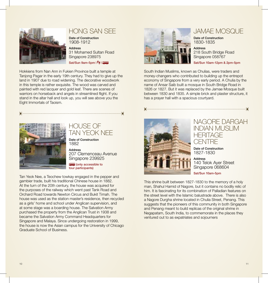

## HONG SAN SEE

Date of Construction 1908-1912

Address 31 Mohamed Sultan Road Singapore 238975

Sat/Sun 9am-5pm | |

Hokkiens from Nan Ann in Fukien Province built a temple at Tanjong Pagar in the early 19th century. They had to give up the land in 1907 due to road widening. The decorative woodwork in this temple is rather exquisite. The wood was carved and painted with red lacquer and gold leaf. There are scenes of warriors on horseback and angels in streamlined flight. If you stand in the altar hall and look up, you will see above you the Eight Immortals of Taoism.



HOUSE OF TAN YEOK NEE

Date of Construction 1882

**Address** 207 Clemenceau Avenue Singapore 239925

**THE (only accessible to** tour participants)

Tan Yeok Nee, a Teochew towkay engaged in the pepper and gambier trade, built his traditional Chinese house in 1882. At the turn of the 20th century, the house was acquired for the purposes of the railway which went past Tank Road and Orchard Road towards Newton Circus and Bukit Timah. The house was used as the station master's residence, then recycled as a girls' home and school under Anglican supervision, and at some stage was a boarding house. The Salvation Army purchased the property from the Anglican Trust in 1938 and became the Salvation Army Command Headquarters for Singapore and Malaya. Since undergoing restoration in 1999, the house is now the Asian campus for the University of Chicago Graduate School of Business.



## JAMAE MOSQUE

Date of Construction 1830-1835

Address 218 South Bridge Road Singapore 058767

Sat/Sun 10am-12pm & 2pm-5pm

South Indian Muslims, known as Chulias, were traders and money-changers who contributed to building up the entrepot economy of Singapore from a very early period. A Chulia by the name of Ansar Saib built a mosque in South Bridge Road in 1826 or 1827. But it was replaced by the Jamae Mosque built between 1830 and 1835. A simple brick and plaster structure, it has a prayer hall with a spacious courtyard.



## NAGORE DARGAH INDIAN MUSLIM **HFRITAGE CENTRE**

Date of Construction 1827-1830

**Address** 140 Telok Ayer Street Singapore 068604 Sat/Sun 10am-5pm

This shrine built between 1827-1830 to the memory of a holy man, Shahul Hamid of Nagore, but it contains no bodily relic of him. It is fascinating for its combination of Palladian features on the street level with the Islamic balustrade above. There is also a Nagore Durgha shrine located in Chulia Street, Penang. This suggests that the pioneers of this community in both Singapore and Penang meant to build replicas of the original shrine in Negapatam, South India, to commemorate in the places they ventured out to as expatriates and sojourners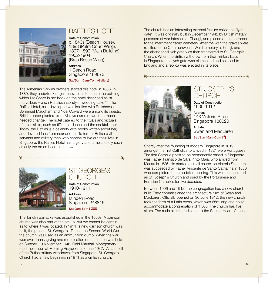

## RAFFLES HOTEL

Date of Construction c.1840s (Beach House), 1893 (Palm Court Wing), 1897-1899 (Main Building), 1902-1904 (Bras Basah Wing)

**Address** 1 Beach Road Singapore 189673 Sat/Sun 10am-7pm (Gallery)

The Armenian Sarkies brothers started this hotel in 1886. In 1889, they undertook major renovations to create the building which Ilsa Sharp in her book on the hotel described as "a marvellous French Renaissance-style 'wedding cake'". The Raffles Hotel, as it developed was instilled with Britishness. Somerset Maugham and Noel Coward were among its guests. British rubber planters from Malaya came down for a much needed change. The hotel catered to the rituals and victuals of colonial life, such as tiffin, tea dance and the cocktail hour. Today, the Raffles is a celebrity with books written about her, and devoted fans from near and far. To former British civil servants and military men who choose to live out their lives in Singapore, the Raffles Hotel has a glory and a melancholy such as only the exiled heart can know.



## ST GEORGE'S CHURCH

Date of Construction 1910-1911

Address Minden Road Singapore 248816

Sat 9am-5pm | THE

The Tanglin Barracks was established in the 1860s. A garrison church was also part of the set up, but we cannot be certain as to where it was located. In 1911, a new garrison church was built, the present St. George's. During the Second World War the church was used as an ammunition dump. When the war was over, thanksgiving and rededication of the church was held on Sunday, 10 November 1946. Field Marshall Montgomery read the lesson at Morning Prayer on 29 June 1947. As a result of the British military withdrawal from Singapore, St. George's Church had a new beginning in 1971 as a civilian church.

The church has an interesting external feature called the "lych gate". It was originally built in December 1942 by British military prisoners of war interned at Changi, and placed at the entrance to the internment camp cemetery. After the war, the graves were re-sited to the Commonwealth War Cemetery at Kranji, and the abandoned lych gate was then transferred to St. George's Church. When the British withdrew from their military base in Singapore, the lych gate was dismantled and shipped to England and a replica was erected in its place.

## ST. JOSEPH'S CHURCH

Date of Construction 1906-1912

**Address** 143 Victoria Street Singapore 188020

Architect Swan and MacLaren Sat/Sun 10am-5pm | <sup>0</sup>

Shortly after the founding of modern Singapore in 1819, amongst the first Catholics to arrived in 1821 were Portuguese. The first Catholic priest to be permanently based in Singapore was Father Fransico de Silva Pinto Maia, who arrived from Macau in 1825. He started a small chapel on Victoria Street. He was succeeded by Father Vincente de Santo Catharina in 1850 who completed the remodelled building. This was consecrated as St. Joseph's Church and used by the Portuguese and Eurasian Catholics for five decades.

Between 1906 and 1912, the congregation had a new church built. They commissioned the architectural firm of Swan and MacLaren. Officially opened on 30 June 1912, the new church took the form of a Latin cross, which was 65m long and could accommodate a congregation of 1,500. The church has five altars. The main altar is dedicated to the Sacred Heart of Jesus.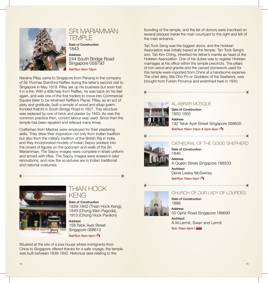

## SRI MARIAMMAN TEMPLE

Date of Construction 1843 **Address** 244 South Bridge Road Singapore 058793

Sat/Sun 8am-12pm

Naraina Pillay came to Singapore from Penang in the company of Sir Thomas Stamford Raffles during the latter's second visit to Singapore in May 1819. Pillay set up his business but soon lost it in a fire. With a little help from Raffles, he was back on his feet again, and was one of the first traders to move into Commercial Square (later to be renamed Raffles's Place). Pillay, as an act of piety and gratitude, built a temple of wood and attap (palmfronded thatch) in South Bridge Road in 1827. This structure was replaced by one of brick and plaster by 1843. As was the common practice then, convict labour was used. Since then the temple has been repaired and refaced many times.

Craftsmen from Madras were employed for their plastering skills. They drew their inspiration not only from Indian tradition but also from the military tradition of the British Raj in India, and they incorporated models of Indian Sepoy soldiers into the crowd of figures on the gopuram and walls of the Sri Mariamman. The Sepoy images were complete in khaki uniform and armed with rifles. The Sepoy images were erased in later renovations, and now the sculptures are in Indian traditional and national costumes.





## THIAN HOCK KENG

Date of Construction 1839-1842 (Thian Hock Keng), 1849 (Chung Wen Pagoda), 1913 (Chong Hock Pavilion)

Address 158 Telok Ayer Street Singapore 068613

Sat/Sun 9am-4pm | !!

Situated at the site of a joss house where immigrants from China to Singapore offered thanks for a safe voyage, the temple was built between 1839-1842. Historical data relating to the

founding of the temple, and the list of donors were inscribed on several plaques inside the main courtyard to the right and left of the main entrance.

Tan Tock Seng was the biggest donor, and the Hokkien Association was initially based at the temple. Tan Tock Seng's son, Tan Kim Ching, inherited his father's mantle as head of the Hokkien Association. One of his duties was to register Hokkien marriages at his office within the temple precincts. The pillars of iron wood and granite and the carved stonework used for this temple were imported from China at a handsome expense. The chief deity, Ma-Cho-Po or Goddess of the Seafarers, was brought from Fukien Province and enshrined here in 1840.





AL-ABRAR MOSQUE

Date of Construction 1850-1855

Address 192 Telok Ayer Street Singapore 068635 Sat/Sun 10am-12pm & 2pm-5pm |



CATHEDRAL OF THE GOOD SHEPHERD

#### Date of Construction 1846 Address A Queen Street Singapore 188533 Architect

Denis Lesley McSwiney Sat/Sun 10am-5pm | <sup>0</sup>



## CHURCH OF OUR LADY OF LOURDES

Date of Construction 1888 Address

50 Ophir Road Singapore 188690

Architect A.W.Lermit, Swan and Lermit Sun 10am-5pm |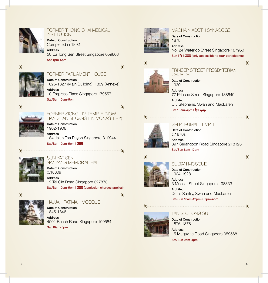

#### FORMER THONG CHAI MEDICAL INSTITUTION

Date of Construction Completed in 1892

Address 50 Eu Tong Sen Street Singapore 059803 Sat 1pm-5pm





## FORMER PARLIAMENT HOUSE

Date of Construction 1826-1827 (Main Building), 1839 (Annexe) Address

10 Empress Place Singapore 179557 Sat/Sun 10am-5pm



#### LIAN SHAN SHUANG LIN MONASTERY) Date of Construction 1902-1908

FORMER SIONG LIM TEMPLE (NOW

Address 184 Jalan Toa Payoh Singapore 319944 Sat/Sun 10am-5pm |



## SUN YAT SEN NANYANG MEMORIAL HALL

Date of Construction c.1880s

Address 12 Tai Gin Road Singapore 327873 Sat/Sun 10am-5pm | **(200)** (admission charges applies)



#### HAJJAH FATIMAH MOSQUE

Date of Construction 1845-1846 Address 4001 Beach Road Singapore 199584 Sat 10am-5pm



### MAGHAIN ABOTH SYNAGOGE

Date of Construction 1878

Address No. 24 Waterloo Street Singapore 187950 Sun  $\left| \cdot \right|$  /  $\left| \cdot \right|$  (only accessible to tour participants)



#### PRINSEP STREET PRESBYTERIAN CHURCH

Date of Construction

1930

Address 77 Prinsep Street Singapore 188649 Architect C.J.Stephens, Swan and MacLaren

Sat 10am-4pm | |



#### SRI PERUMAL TEMPLE

Date of Construction c.1870s

Address 397 Serangoon Road Singapore 218123 Sat/Sun 8am-12pm



SULTAN MOSQUE Date of Construction

1924-1928

Address 3 Muscat Street Singapore 198833

Architect Denis Santry, Swan and MacLaren Sat/Sun 10am-12pm & 2pm-4pm



## TAN SI CHONG SU

Date of Construction 1876-1878

**Address** 15 Magazine Road Singapore 059568

Sat/Sun 9am-4pm





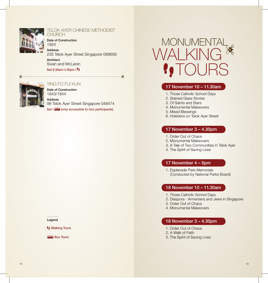

#### TELOK AYER CHINESE METHODIST CHURCH

Date of Construction 1924 Address

235 Telok Ayer Street Singapore 068656

<u>es</u>

Architect Swan and McLaren

Sat 9.30am-1.30pm |



### YING FO FUI KUN

Date of Construction 1843/1844 Address 98 Telok Ayer Street Singapore 048474 Sat |  $\sqrt{ }$  (only accessible to tour participants)

#### Legend

**!** Walking Tours

**Bus Tours** 



#### 17 November 10 – 11.30am

- 1. Those Catholic School Days
- 2. Stained Glass Stories
- 3. Of Saints and Stars
- 4. Monumental Makeovers
- 5. Mixed Blessings
- 6. Hokkiens on Telok Ayer Street

#### 17 November 3 – 4.30pm

- 1. Order Out of Chaos
- 2. Monumental Makeovers
- 3. A Tale of Two Communities in Telok Ayer
- 4. The Spirit of Saving Lives

#### 17 November 4 – 5pm

1. Esplanade Park Memorials (Conducted by National Parks Board)

#### 18 November 10 – 11.30am

- 1. Those Catholic School Days
- 2. Diaspora Armenians and Jews in Singapore
- 3. Order Out of Chaos
- 4. Monumental Makeovers

#### 18 November 3 – 4.30pm

- 1. Order Out of Chaos
- 2. A Walk of Faith
- 3. The Spirit of Saving Lives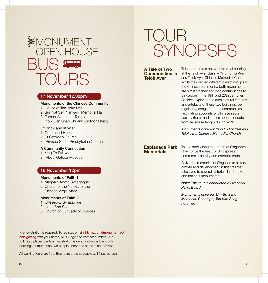## MONUMENT OPEN HOUSE BUS  $\theta$ TOURS

#### 17 November 12.30pm

#### Monuments of the Chinese Community

- 1. House of Tan Yoke Nee
- 2. Sun Yat Sen Nanyang Memorial Hall
- 3. Former Siong Lim Temple (now Lian Shan Shuang Lin Monastery)

#### Of Brick and Mortar

- 1. Command House
- 2. St George's Church
- 3. Prinsep Street Presbyterian Church

#### A Community Connection

- 1. Ying Fo Fui Koon
- 2. Abdul Gaffoor Mosque

#### 18 November 12pm

#### Monuments of Faith 1

- 1. Maghain Aboth Synagogue
- 2. Church of the Nativity of the Blessed Virgin Mary

#### Monuments of Faith 2

- 1. Chesed-El Synagogue
- 2. Hong San See
- 3. Church of Our Lady of Lourdes

Pre-registration is required. To register, email nhb\_nationalmonuments@ nhb.gov.sg with your name, NRIC, age and contact number. Due to limited places per tour, registration is on an individual basis only, bookings of more than two people under one name is not allowed.

All walking tours are free. Bus tours are chargeable at \$5 per person.

# TOUR **SYNOPSES**

**A Tale of Two Communities in Telok Ayer**

This tour centres on two historical buildings at the Telok Ayer Basin – Ying Fo Fui Kun and Telok Ayer Chinese Methodist Church. While they served different dialect groups in the Chinese community, both monuments are similar in their altruistic contributions to Singapore in the 19th and 20th centuries. Besides exploring the architectural features and artefacts of these two buildings, be regaled by songs from the communities, fascinating accounts of Chinese secret society rituals and stories about hideouts from Japanese troops during WWII.

*Monuments covered: Ying Fo Fui Kun and Telok Ayer Chinese Methodist Church*

#### **Esplanade Park Memorials**

Take a stroll along the mouth of Singapore River, once the heart of Singapore's commercial activity and entrepôt trade.

Relive the memories of Singapore's history, growth and development in this trail that takes you to several historical landmarks and national monuments.

*Note: This tour is conducted by National Parks Board*

*Monuments covered: Lim Bo Seng Memorial, Cenotaph, Tan Kim Seng Fountain*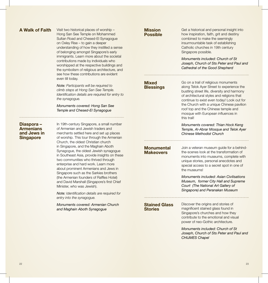#### **A Walk of Faith**

Visit two historical places of worship – Hong San See Temple on Mohammed Sultan Road and Chesed-El Synagogue on Oxley Rise – to gain a deeper understanding of how they instilled a sense of belonging amongst Singapore's early immigrants. Learn more about the societal contributions made by individuals who worshipped at the respective buildings and the symbolism of religious architecture, and see how these contributions are evident even till today.

*Note: Participants will be required to climb steps at Hong San See Temple. Identification details are required for entry to the synagogue.*

*Monuments covered: Hong San See Temple and Chesed-El Synagogue*

#### **Diaspora – Armenians and Jews in Singapore**

In 19th-century Singapore, a small number of Armenian and Jewish traders and merchants settled here and set up places of worship. This tour through the Armenian Church, the oldest Christian church in Singapore, and the Maghain Aboth Synagogue, the oldest Jewish synagogue in Southeast Asia, provide insights on these two communities who thrived through enterprise and hard work. Learn more about prominent Armenians and Jews in Singapore such as the Sarkies brothers (the Armenian founders of Raffles Hotel) and David Marshall (Singapore's first Chief Minister, who was Jewish).

*Note: Identification details are required for entry into the synagogue.*

*Monuments covered: Armenian Church and Maghain Aboth Synagogue*

| Mission<br><b>Possible</b>             | Get a historical and personal insight into<br>how inspiration, faith, grit and destiny<br>combined to make the seemingly<br>insurmountable task of establishing<br>Catholic churches in 19th century<br>Singapore possible.<br>Monuments included: Church of St<br>Joseph, Church of Sts Peter and Paul and<br>Cathedral of the Good Shepherd                                                               |  |
|----------------------------------------|-------------------------------------------------------------------------------------------------------------------------------------------------------------------------------------------------------------------------------------------------------------------------------------------------------------------------------------------------------------------------------------------------------------|--|
| Mixed<br><b>Blessings</b>              | Go on a trail of religious monuments<br>along Telok Ayer Street to experience the<br>bustling street life, diversity and harmony<br>of architectural styles and religions that<br>continue to exist even today! Look out for<br>the Church with a unique Chinese pavilion<br>roof top and the Chinese temple and<br>mosque with European influences in<br>this trail!<br>Monuments covered: Thian Hock Keng |  |
|                                        | Temple, Al-Abrar Mosque and Telok Ayer<br>Chinese Methodist Church                                                                                                                                                                                                                                                                                                                                          |  |
| Monumental<br><b>Makeovers</b>         | Join a veteran museum guide for a behind-<br>the-scenes look at the transformation of<br>monuments into museums, complete with<br>unique stories, personal anecdotes and<br>special access to a secret spot in one of<br>the museums!                                                                                                                                                                       |  |
|                                        | <b>Monuments included: Asian Civilisations</b><br>Museum, former City Hall and Supreme<br>Court (The National Art Gallery of<br>Singapore) and Peranakan Museum                                                                                                                                                                                                                                             |  |
| <b>Stained Glass</b><br><b>Stories</b> | Discover the origins and stories of<br>magnificent stained glass found in<br>Singapore's churches and how they<br>contribute to the emotional and visual<br>power of neo-Gothic architecture.                                                                                                                                                                                                               |  |
|                                        | Monuments included: Church of St<br>Joseph, Church of Sts Peter and Paul and<br><b>CHIJMES Chapel</b>                                                                                                                                                                                                                                                                                                       |  |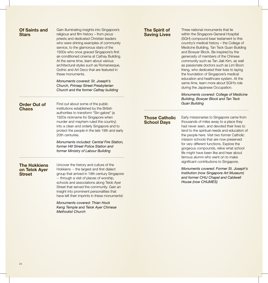| <b>Of Saints and</b><br><b>Stars</b><br><b>Order Out of</b><br><b>Chaos</b> | Gain illuminating insights into Singapore's<br>religious and film history - from pious<br>priests and dedicated Christian leaders<br>who were shining examples of community<br>service, to the glamorous stars of the<br>1930s who once graced Singapore's first<br>air-conditioned cinema at Cathay Building.<br>At the same time, learn about various<br>architectural styles such as Romanesque,<br>Gothic and Art Deco that are featured in<br>these monuments.<br>Monuments covered: St. Joseph's<br>Church, Prinsep Street Presbyterian<br>Church and the former Cathay building<br>Find out about some of the public<br>institutions established by the British | <b>The Spirit of</b><br><b>Saving Lives</b> | Three national monuments that lie<br>within the Singapore General Hospital<br>(SGH) compound bear testament to this<br>country's medical history - the College of<br>Medicine Building, Tan Teck Guan Building<br>and Bowyer Block. Be inspired by the<br>generosity of members of the Chinese<br>community such as Tan Jiak Kim, as well<br>as passionate doctors such as Lim Boon<br>Keng, who dedicated their lives to laying<br>the foundation of Singapore's medical<br>education and healthcare system. At the<br>same time, learn more about SGH's role<br>during the Japanese Occupation.<br>Monuments covered: College of Medicine<br>Building, Bowyer Block and Tan Teck<br><b>Guan Building</b> |
|-----------------------------------------------------------------------------|------------------------------------------------------------------------------------------------------------------------------------------------------------------------------------------------------------------------------------------------------------------------------------------------------------------------------------------------------------------------------------------------------------------------------------------------------------------------------------------------------------------------------------------------------------------------------------------------------------------------------------------------------------------------|---------------------------------------------|------------------------------------------------------------------------------------------------------------------------------------------------------------------------------------------------------------------------------------------------------------------------------------------------------------------------------------------------------------------------------------------------------------------------------------------------------------------------------------------------------------------------------------------------------------------------------------------------------------------------------------------------------------------------------------------------------------|
|                                                                             | authorities to transform "Sin-galore" (a<br>1920s nickname for Singapore when<br>murder and mayhem ruled the country)<br>into a clean and orderly Singapore and to<br>protect the people in the late 19th and early<br>20th centuries.                                                                                                                                                                                                                                                                                                                                                                                                                                 | <b>Those Catholic</b><br><b>School Days</b> | Early missionaries to Singapore came from<br>thousands of miles away to a place they<br>had never seen, and devoted their lives to<br>tend to the spiritual needs and education of<br>the people here. Visit two former Catholic                                                                                                                                                                                                                                                                                                                                                                                                                                                                           |
|                                                                             | Monuments included: Central Fire Station,<br>former Hill Street Police Station and<br>former Ministry of Labour Building                                                                                                                                                                                                                                                                                                                                                                                                                                                                                                                                               |                                             | mission schools that are now preserved<br>for very different functions. Explore the<br>gorgeous compounds, relive what school<br>life might have been like and hear about<br>famous alumni who went on to make<br>significant contributions to Singapore.                                                                                                                                                                                                                                                                                                                                                                                                                                                  |
| <b>The Hokkiens</b><br>on Telok Ayer<br><b>Street</b>                       | Uncover the history and culture of the<br>Hokkiens -- the largest and first dialect<br>group that arrived in 19th century Singapore<br>-- through a visit of places of worship,<br>schools and associations along Telok Ayer<br>Street that served the community. Gain an<br>insight into prominent personalities that<br>have left their imprints in these monuments!                                                                                                                                                                                                                                                                                                 |                                             | Monuments covered: Former St. Joseph's<br>Institution (now Singapore Art Museum)<br>and former CHIJ Chapel and Caldwell<br>House (now CHIJMES)                                                                                                                                                                                                                                                                                                                                                                                                                                                                                                                                                             |
|                                                                             | Monuments covered: Thian Hock<br>Keng Temple and Telok Ayer Chinese                                                                                                                                                                                                                                                                                                                                                                                                                                                                                                                                                                                                    |                                             |                                                                                                                                                                                                                                                                                                                                                                                                                                                                                                                                                                                                                                                                                                            |

.....

*Methodist Church*